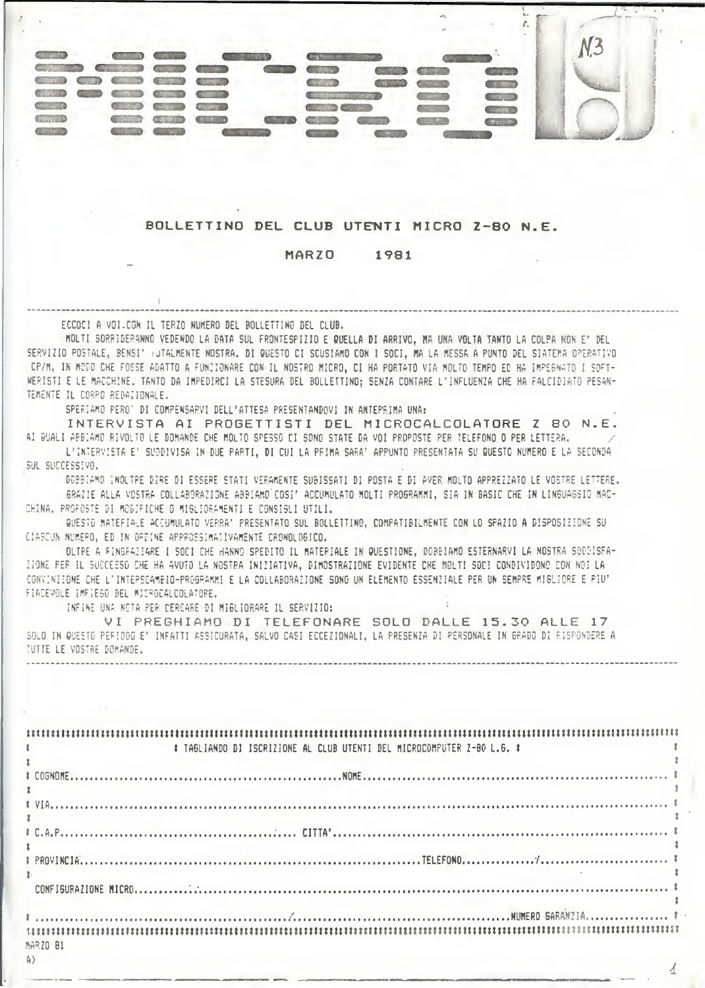

## BOLLETTING DEL CLUB UTENTI MICRO Z-80 N.E.

#### MARZO 1981

ECCOCI A VOI CON IL TERZO NUMERO DEL BOLLETTINO DEL CLUB.

MOLTI SORRIDERANNO VEDENDO LA DATA SUL FRONTESPIZIO E QUELLA DI ARRIVO, MA UNA VOLTA TANTO LA COLPA NON E' DEL SERVIZIO POSTALE, BENSI' (JTALMENTE NOSTRA. DI QUESTO CI SCUSIAMO CON I SOCI, MA LA MESSA A PUNTO DEL SIATEMA OPERATIVO CP/M, IN MODO CHE FOSSE ADATTO A FUNCIONARE CON IL NOSTRO MICRO, CI HA PORTATO VIA MOLTO TEMPO ED HA IMPEGNATO I SOFT-WERISTI E LE MACCHINE, TANTO DA IMPEDIRCI LA STESURA DEL BOLLETTINO; SENZA CONTARE L'INFLUENZA CHE HA FALCIDIATO PESAN-TEMENTE IL CORPO REDAZIONALE.

SPERIAMO PERO' DI COMPENSARVI DELL'ATTESA PRESENTANDOVI IN ANTEPRIMA UNA:

INTERVISTA AI PROGETTISTI DEL MICROCALCOLATORE Z 80 N.E. AI BUALI ABBIAMO RIVOLTO LE DOMANDE CHE MOLTO SPESSO DI SONO STATE DA VOI PROPOSTE PER TELEFONO O PER LETTERA.

L'INTERVISTA E' SUDDIVISA IN DUE PARTI, DI CUI LA PRIMA SARA' APPUNTO PRESENTATA SU RUESTO NUMERO E LA SECONDA SUL SUCCESSIVO.

DOBBIAMO INOLTAE DIRE DI ESSERE STATI VERAMENTE SUBISSATI DI POSTA E DI AVER MOLTO APPREZZATO LE VOSTRE LETTERE. BRAZIE ALLA VOSTRA COLLABORAZIONE ABBIAMO COSI' ACCUMULATO MOLTI PROBRAMMI. SIA IN BASIC CHE IN LINGUASSIO MAC-CHINA, PROFOSTE DI MODIFICHE O MIGLIORAMENTI E CONSIGLI UTILI.

QUESTO MATEFIALE ACCUMULATO VERRA' PRESENTATO SUL BOLLETTINO, COMPATIBILMENTE CON LO SPAZIO A DISPOSIZIONE SU CIASCUN NUMERO, ED IN ORDINE APPROSSIMATIVAMENTE CRONOLOGICO.

OLTRE A RINGFAIIARE I SOCI CHE HANNO SPEDITO IL MATERIALE IN QUESTIONE, DOBBIAMO ESTERNARVI LA NOSTRA SODDISFA-ZIONE PER IL SUCCESSO CHE HA AVUTO LA NOSTRA INIZIATIVA, DIMOSTRAZIONE EVIDENTE CHE MOLTI SOCI CONDIVIDONO CON NOI LA CONVINZIONE CHE L'INTEPSCAMBIO-PROGRAMMI E LA COLLABORAZIONE SONO UN ELEMENTO ESSENZIALE PER UN SEMPRE MISLIORE E PIU' FIACEVOLE IMPIEGO DEL MICROCALCOLATORE.

INFINE UNA NOTA PER CERCARE DI MIGLIORARE IL SERVIZIO:

VI PREGHIAMO DI TELEFONARE SOLO DALLE 15.30 ALLE 17 SOLO IN QUESTO PERIODO E' INFATTI ASSICURATA, SALVO CASI ECCEZIONALI, LA PRESENZA DI PERSONALE IN GRADO DI RISPONDERE A TUTTE LE VOSTRE DONANDE.

| <b>Experience of the Community Community</b>  | # TAGLIANDO DI ISCRIZIONE AL CLUB UTENTI DEL MICROCOMPUTER Z-80 L.G. # |
|-----------------------------------------------|------------------------------------------------------------------------|
| $\mathbf{E}$ and $\mathbf{E}$<br>$\mathbf{r}$ |                                                                        |
|                                               |                                                                        |
|                                               |                                                                        |
|                                               |                                                                        |
|                                               |                                                                        |
| MARZO 81                                      |                                                                        |
| 4                                             |                                                                        |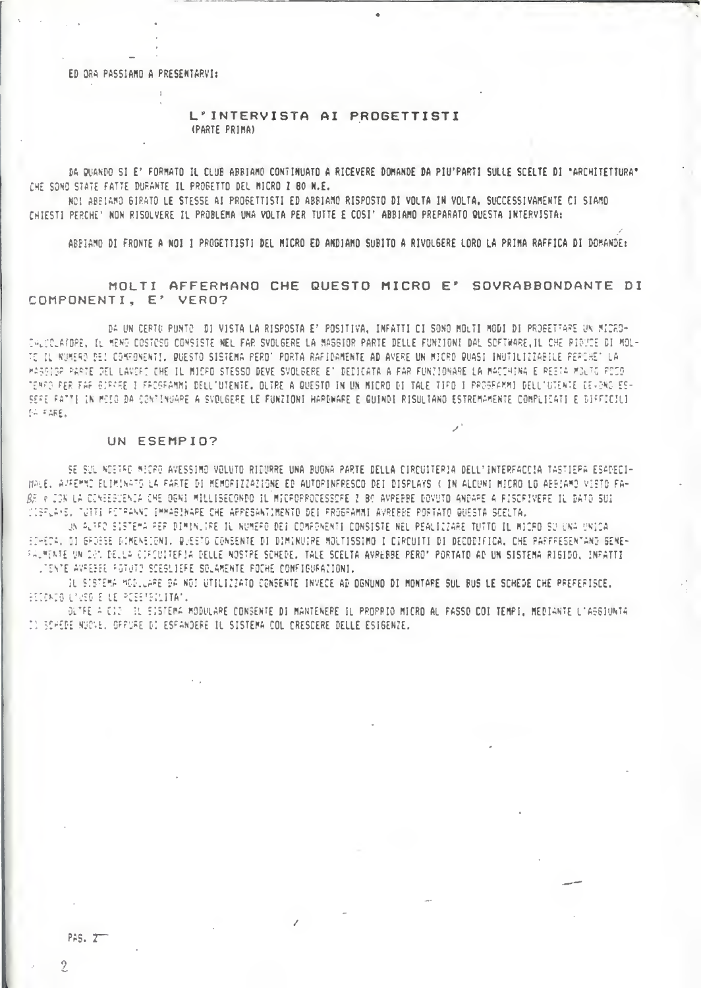ED ORA PASSIAMO A PRESENTARVI:

L'INTERVISTA AI PROGETTISTI (PARTE PRIMA)

DA QUANDO SI E' FORMATO IL CLUB ABBIAMO CONTINUATO A RICEVERE DOMANDE DA PIU'PARTI SULLE SCELTE DI "ARCHITETTURA" CHE SONO STATE FATTE DURANTE IL PROGETTO DEL MICRO I 80 N.E.

NOI ABEIAMO GIRATO LE STESSE AI PROGETTISTI ED ABBIAMO RISPOSTO DI VOLTA IN VOLTA. SUCCESSIVAMENTE CI SIAMO CHIESTI PERCHE' NON RISOLVERE IL PROBLEMA UNA VOLTA PER TUTTE E COSI' ABBIAMO PREPARATO QUESTA INTERVISTA:

ABPIAMO DI FRONTE A NOI I PROGETTISTI DEL MICRO ED ANDIAMO SUBITO A RIVOLGERE LORO LA PRIMA RAFFICA DI DOMANDE:

MOLTI AFFERMANO CHE QUESTO MICRO E' SOVRABBONDANTE DI COMPONENTI. E' VERO?

DA UN CERTO PUNTO DI VISTA LA RISPOSTA ET POSITIVA, INFATTI CI SONO MOLTI MODI DI PROBETTARE UN MICRO-CALCOLATORE, IL MENO COSTOSO CONSISTE NEL FAR SVOLGERE LA MAGGIOR PARTE DELLE FUNZIONI DAL SOFTWARE, IL CHE PIOUSE DI MOL-TE IL NUMERO DEL COMPONENTI, QUESTO SISTEMA PERD' PORTA RAFIDAMENTE AD AVERE UN MICRO QUASI INUTILIZZABILE PERCHE' LA HASSIGP PARTE DEL LAVORO CHE IL MICPO STESSO DEVE SVOLGERE E' DEDICATA A FAR FUNTIONARE LA MACCHINA E PESTA MOLTO POCO TERRO PER FAF GJRKRE I FROGRAMMI DELL'UTENTE. DLTRE A QUESTO IN UN MICRO DI TALE TIPO I PROGRAMMI DELL'UTENTE DEVONO ES-SEFE FATTI IN MOIO DA CONTINUARE A SVOLGERE LE FUNZIONI HARDWARE E QUINDI RISULIANO ESTREMAMENTE COMPLICATI E DIFFICILI SA FARE.

#### UN ESEMPIO?

SE SUL NOETRO MICRO AVESSIMO VOLUTO RIDURRE UNA BUONA PARTE DELLA CIRCUITERIA DELL'INTERFACCIA TASTIEPA ESADECI-WALE. APFEMMO ELIMINATO LA PARTE DI MEMORIZZAZIONE ED AUTORINFRESCO DEI DISPLAYS ( IN ALCUNI MICRO LO ABBIAMO VISTO FA-RE » ION LA CINEESTENIA CHE DENI MILLISECONDO IL MICROPPOCESSORE 2 BO AVPERRE DOVUTO ANDARE A PISCRIVERE IL DATO SUI CISPLAYS, TUTTI PETPANNO IMMABINARE CHE APPESANTIMENTO DEI PROGRAMMI AVREBBE PORTATO QUESTA SCELTA,

UN ALTED SISTEMA PER DIMINUIRE IL NUMERO DEI COMPONENTI CONSISTE NEL PEALIZZARE TUTTO IL MICRO SU UNA UNICA FIHECA, DI GROESE DIMENEIGNI. QUESTO CONSENTE DI DIMINUIRE MOLTISSIMO I CIRCUITI DI DECOBIFICA. CHE PAPFRESENTAND GENE-PALMENTE UN DON DELLA CIFCUITERIA DELLE NOSTRE SCHEDE. TALE SCELTA AVREBBE PERO" PORTATO AD UN SISTEMA RIGIDO, INRATTI LIENTE AVRESEE POTUTO SCESLIERE SOLAMENTE POCHE CONFIGURATIONI.

IL SISTEMA MODLLARE DA NOI UTILIZZATO CONSENTE INVECE AD OGNUNO DI MONTARE SUL BUS LE SCHEDE CHE PREFERISCE. RECONDO LAVEGIE LE POEETROLITATU

OLTEE A CID IL EISTEMA MODULARE CONSENTE DI MANTENERE IL PROPRIO MICRO AL PASSO COI TEMPI, MEDIANTE L'ASGIUNTA IN SCHEDE NUCVE. GERURE DI ESFANDERE IL SISTEMA COL CRESCERE DELLE ESIGENZE.

PAS. 2

 $\overline{2}$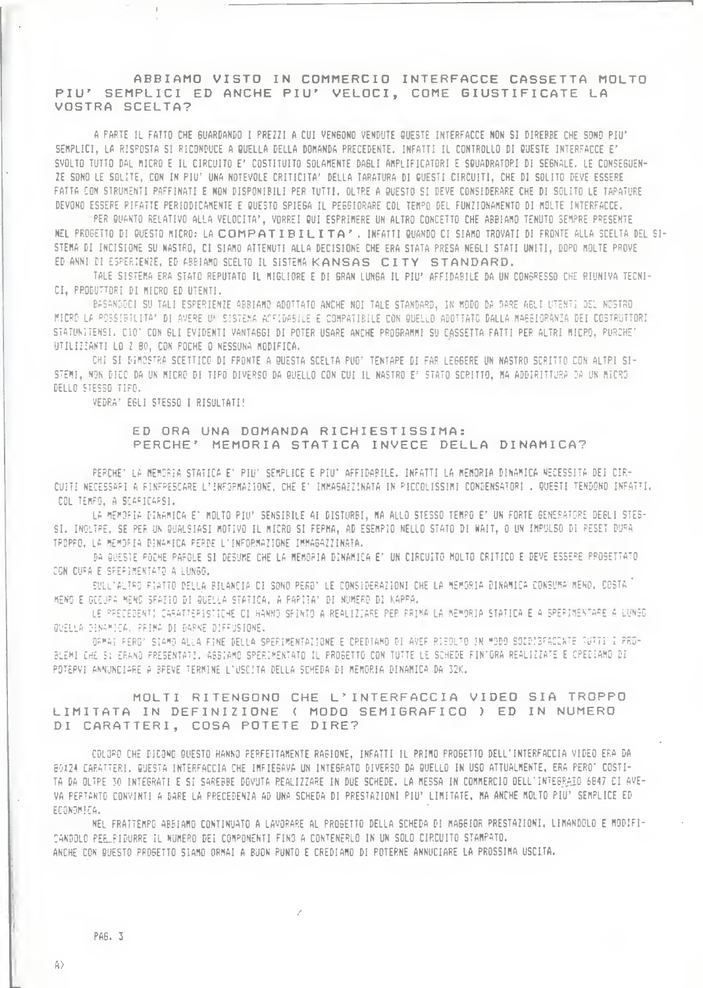## ABBIAMO VISTO IN COMMERCIO INTERFACCE CASSETTA MOLTO PIU' SEMPLICI ED ANCHE PIU' VELOCI, COME GIUSTIFICATE LA VOSTRA SCELTA?

A PARTE IL FATTO CHE GUARDANDO I PREZZI A CUI VENGONO VENDUTE QUESTE INTERFACCE NON SI DIREBBE CHE SONO PIU' SEMPLICI, LA RISPOSTA SI RICONDUCE A QUELLA DELLA DOMANDA PRECEDENTE, INFATTI IL CONTROLLO DI QUESTE INTERFACCE E' SVOLTO TUTTO DAL MICRO E IL CIRCUITO E' COSTITUITO SOLAMENTE DAGLI AMPLIFICATORI E SQUADRATORI DI SEGNALE. LE CONSEGUEN-ZE SONO LE SOLITE, CON IN PIU' UNA NOTEVOLE CRITICITA' DELLA TARATURA DI QUESTI CIRCUITI, CHE DI SOLITO DEVE ESSERE FATTA CON STRUNENTI PAFFINATI E NON DISPONIBILI PER TUTTI. OLTRE A QUESTO SI DEVE CONSIDERARE CHE DI SOLITO LE TAPATURE DEVONO ESSERE RIFATTE PERIODICAMENTE E QUESTO SPIEGA IL PEGGIORARE COL TEMPO DEL FUNZIONAMENTO DI MOLTE INTERFACCE.

PER QUANTO RELATIVO ALLA VELOCITA', VORREI QUI ESPRIMERE UN ALTRO CONCETTO CHE ABBIAMO TENUTO SEMPRE PRESENTE NEL PROGETTO DI QUESTO MICRO: LA COMPATIBILITA". INFATTI QUANDO CI SIAMO TROVATI DI FRONTE ALLA SCELTA DEL SI-STEMA DI INCISIONE SU NASTRO, CI SIAMO ATTENUTI ALLA DECISIONE CHE ERA STATA PRESA NEGLI STATI UNITI, DOPO MOLTE PROVE ED ANNI DI ESPERIENZE, ED ABBIAMO SCELTO IL SISTEMA KANSAS CITY STANDARD.

TALE SISTEMA ERA STATO REPUTATO IL MIGLIORE E DI GRAN LUNGA IL PIU' AFFIDABILE DA UN CONGRESSO CHE RIUNIVA TECNI-CI, PRODUTTORI DI MICRO ED UTENTI.

BASANDOCI SU TALI ESPERIENZE ABBIAMO ADOTTATO ANCHE NOI TALE STANDARD, IN MODO DA DARE ABLI UTENTI DEL NOSTRO MICRO LA POSSIBILITA? DI AVERE UN SISTEMA AFFIDABILE E COMPATIBILE CON QUELLO ADOTTATO DALLA MABBIORANIA DEI COSTRUTTORI STATUNITENSI, CIO' CON GLI EVIDENTI VANTAGGI DI POTER USARE ANCHE PROGRAMMI SU CASSETTA FATTI PER ALTRI MICRO, PURCHE' UTILIZZANTI LO 2 BO, CON POCHE O NESSUNA MODIFICA.

CHI SI DIMOSTRA SCETTICO DI FRONTE A QUESTA SCELTA PUO' TENTARE DI FAR LEGGERE UN NASTRO SCRITTO CON ALTRI SI-STEMI, NON DICO DA UN MICRO DI TIPO DIVERSO DA QUELLO CON CUI IL NASTRO E' STATO SCRITTO, MA ADDIRITTURA DA UN MICRO DELLO STESSO TIPO.

VEDRA' EGLI STESSO I RISULTATI!

## ED ORA UNA DOMANDA RICHIESTISSIMA: PERCHE' MEMORIA STATICA INVECE DELLA DINAMICA?

PERCHE' LA MEMORIA STATICA E' PIU' SEMPLICE E PIU' AFFIDABILE. INFATTI LA MEMORIA DINAMICA NECESSITA DEI CIR-CUITI NECESSARI A FINFRESCARE L'INFORMAZIONE, CHE E' IMMAGAZZINATA IN PIECOLISSIMI CONDENSATORI . QUESTI TENDONO INFATTI, COL TEMPS, A SCARICARSI.

LA MEMORIA DINAMICA E' MOLTO PIU' SENSIBILE AI DISTURBI, MA ALLO STESSO TEMPO E' UN FORTE GENERATORE DEGLI STES-SI. INOLTPE, SE PER UN QUALSIASI MOTIVO IL MICRO SI FEPMA, AD ESEMPIO NELLO STATO DI WAIT, O UN IMPULSO DI RESET DURA TROPPO, LA MEMOFIA DINAMICA PERDE L'INFORMAZIONE IMMAGAZZINATA.

DA QUESTE POCHE PAROLE SI DESUME CHE LA MEMORIA DINAMICA E' UN CIRCUITO MOLTO CRITICO E DEVE ESSERE PROSETTATO CON CUPA E SPEPIMENTATO A LUNGO.

SULL'ALTRO PIATTO DELLA BILANCIA CI SONO PERO' LE CONSIDERAZIONI CHE LA MEMORIA DINAMICA CONSUMA MENO. COSTA <sup>"</sup> MENO E GECUPA MENO SFAZIO DI QUELLA STATICA, A PAPITA' DI NUMERO DI KAPPA.

LE PRECEDENTI CARATTERISTICHE CI HANNO SFINTO A REALIZIARE PER PRIMA LA MEMORIA STATICA E A SPERIMENTARE À LUNGO QUELLA DINAMICA, PRIMA DI DARNE DIFFUSIONE.

OFMAI FERO' SIAMO ALLA FINE DELLA SPERIMENTAZIONE E CREDIAMO DI AVEF RISOLTO IN MODO SOIDISFACENTE TUTTI I PRO-BLEMI CHE SI ERANO PRESENTATI. ABBIAMO SPERIMENTATO IL PROGETTO CON TUTTE LE SCHEDE FIN'ORA REALIZZATE E CPEDIAMO DI POTERVI ANNUNCIARE A BREVE TERMINE L'USCITA DELLA SCHEDA DI MEMORIA DINAMICA DA 32K.

# MOLTI RITENGONO CHE L'INTERFACCIA VIDEO SIA TROPPO LIMITATA IN DEFINIZIONE ( MODO SEMIGRAFICO ) ED IN NUMERO DI CARATTERI, COSA POTETE DIRE?

COLORO CHE DICONO QUESTO HANNO PERFETTAMENTE RAGIONE, INFATTI IL PRIMO PROGETTO DELL'INTERFACCIA VIDEO ERA DA BOX24 CARATTERI, QUESTA INTERFACCIA CHE IMFIEGAVA UN INTEGRATO DIVERSO DA QUELLO IN USO ATTUALMENTE, ERA PERO' COSTI-TA DA OLIPE 30 INTEGRATI E SI SAREBBE DOVUTA REALIZZARE IN DUE SCHEDE. LA MESSA IN COMMERCIO OELL'INTEGRAIO 6847 CI AVE-VA PERTANTO CONVINTI A DARE LA PRECEDENZA AD UNA SCHEDA DI PRESTAZIONI PIU' LIMITATE, MA ANCHE MOLTO PIU' SEMPLICE ED ECONOMICA.

NEL FRATTEMPO ABBIAMO CONTINUATO A LAVORARE AL PROGETTO DELLA SCHEDA DI MAGGIOR PRESTAZIONI, LIMANDOLO E MODIFI-CANDOLO PEE\_FIDURRE IL NUMERO DEI COMPONENTI FINO A CONTENERLO IN UN SOLO CIRCUITO STAMPATO. ANCHE CON QUESTO PROGETTO SIAMO ORMAI A BUON PUNTO E CREDIAMO DI POTERNE ANNUCIARE LA PROSSIMA USCLTA.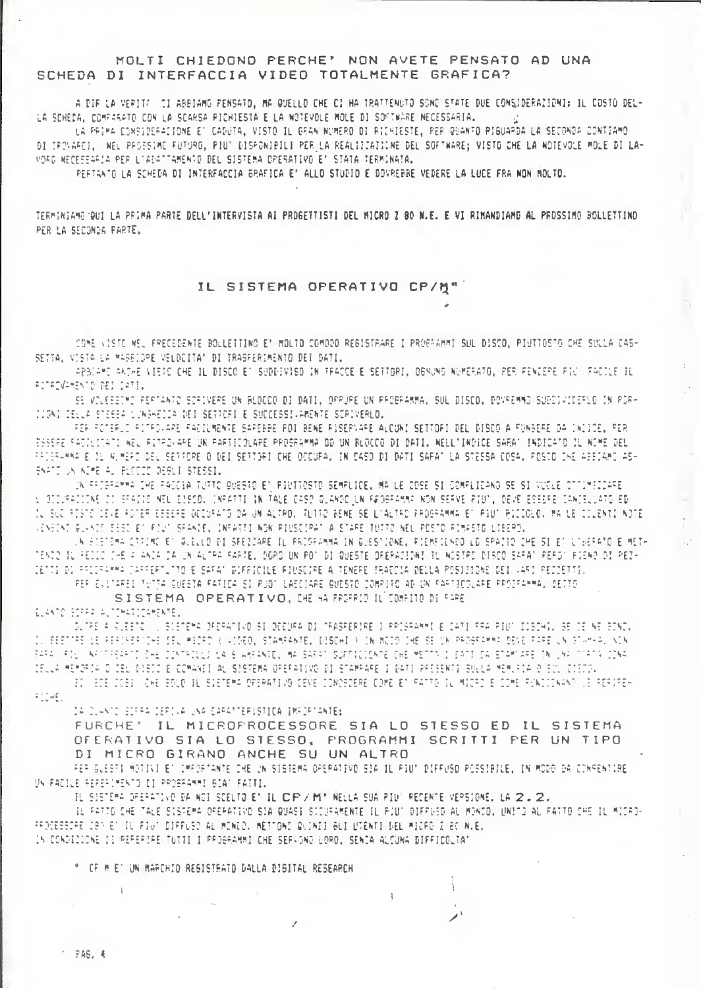# MOLTI CHIEDONO PERCHE' NON AVETE PENSATO AD UNA SCHEDA DI INTERFACCIA VIDEO TOTALMENTE GRAFICA?

A DIF LA VERITO DI ABBIAMO PENSATO, MA QUELLO CHE CI HA TRATTENUTO SONO STATE DUE CONSIDERAZIONI: IL COSTO DEL-LA SCHEDA, COMFARATO CON LA SCARSA PICHIESTA E LA NOTEVOLE MOLE DI SOFTWARE NECESSARIA.

LA PRIMA CONSIDERAZIONE E' CADUTA, VISTO IL GRAN NUMERO DI RICHIESTE, PER QUANTO RIGUAPDA LA SECONDA CONTIAMO DI TROVAREI, NEL PROSSIME FUTORO, PIU' DISPONIBILI PER LA REALIZZAZIONE DEL SOFTWARE; VISTO CHE LA NOTEVOLE MOLE DI LA-VORD NECESSARIA PER L'ADATTAMENTO DEL SISTEMA OPERATIVO E' STATA TERMINATA.

PERTANTO LA SCHEDA DI INTERFACCIA BRAFICA E? ALLO STUDIO E DOVRERRE VEDERE LA LUCE FRA NON HOLTO.

TERMINIAME QUI LA PRIMA PARTE DELL'INTERVISTA AI PROGETTISTI DEL MICRO Z 80 N.E. E VI RIMANDIAMO AL PROSSIMO BOLLETTINO PER LA SECONDA FARTE.

# IL SISTEMA OPERATIVO CP/M"

COME VISTO NEL PRECEDENTE BOLLETTING ET MOLTO COMODO REGISTRARE I PROGRAMMI SUL DISCO, PIUTTOSTO CHE SULLA CAS-SETTA, VISTA LA MASBIDPE VELOCITA' DI TRASFERIMENTO DEI DATI.

APBIAME ANTHE VIETO OHE IL DISCO ET SUDDIVISO IN TRACCE E SETTORI, OGNUNO NUMERATO, PER FENZEPE PIU (FACILE IL RITEDVARENTO DEI DATI.

SE VOLEESTMO PERTANTO SOFIVERE UN BLOCCO DI DATI, OPPURE UN PROBRAMMA, SUL DISCO, DOVREMMO SUBDIVICERLO IN POR-JUGNI DELLA STESSA LUNGHEDDA DEI SETTORI E SUCCESSI-AMENTE SORIVERLO.

FER FOTERLI RITROLARE FADELMENTE SAREBBE POI BENE RISERVARE ALCUNI SETTOPI DEL DISCO A FUNBERE DA INICOE, PER ESSEPE FACILITATI WEL RITFOVARE UN PARTICOLARE PROSRAMMA OD UN BLOCCO DI DATI. NELL'INDICE SARAT INDICATO IL NOME DEL FRIGRHAMA E IL ALMERO DEL SETTORE O DEI SETTORI CHE OCCURA, IN CASO DI DATI SAPAT LA STESSA COSA, POSTO DRE ABBIAMO ASH SNATO UN ACME AL PLOTIC DESLI STESSI.

JN FFORFAMMA OHE FACCIA TUTTO DUESTO EN PIUTTOSTO SEMPLICE. MA LE COSE SI COMFLICANO SE SI VUCLE OTTIMFODAFE. L'OTOJEADIONE DI SPAGIO NEL DISCOL (NRARTI IN TALE CASO QUAMOC UN FÆDBFAMMA NON SERVE POU), DEVE ESSERE CANTELLATO ED IL SUC POSTO DEVE FOTER ESSERE OCCURATO DA UN ALTRO, TUTTO BENE SE L'ALTRO FROGRAMMA ET PIUT RICODLO, MA LE COLEMIT NOTE VENGENE GLANIS EGST EN FJUN SPANDE. INFATTI NON PIUSEIPAN A STARE TUITO NEL POSTO FIMASTO LIBERO.

IN FISTEMA CIPIMO ET GUELLO DI SPEZZARE IL PROSFAMMA IN GUESTIONE, RIEMFICNOO LO SPAZIO CHE SI ET UT6ERATO E METH TENDO IL FEILO DHE A ANDA DA UN ALTRA PARTE, DOPO UN POT DI QUESTE OFERACIONI TL NOSTRO DISCO SAFAT PEFOT PIENO DI PEZ-IETTI DI PRODRAMMA DARRERTUTTO E SARAT DIFFICILE PIUSCIPE A TEMERE TRACCIA DELLA POSIZIONE DEI 4451 PEZZETTI. REF EVITAREI TUTTA GUEETA FATICA SI PUBL LABCIARE QUESTO COMPITO AD UN FAPTICOLARE PROJEAMMA, DETTO

SISTEMA OPERATIVO, CHE HA PROFRID IL COMFITO DI SARE

CLANTO SCARA AUTOMATICAMENTE.

DUTRE A GLEETO () SISTEMA DECRATIVO SI DECURA DI TRASPERIRE I PRIGRAMMI E CATI SAA PIUT DISDAI, SE CE NE BOND, IL BEETTRE LE PERIRERTIAE IEU MICRO ( VIDEO, STAMPANTE, BISOHI ) INVNODO IME SE UN PROSPAMMA DEVE PARE UN STAMPA, NON SARA (FI) NECESSARIO DHE CONTACULE LA S'AHRANTE, MA SARA' SUFFICIENTE CHE METTO I DATE DA STAMIARE TN UNA MIRTA CONA CELLA MEMORIA O CEL DISIO E COMANEI AL SISTEMA OPERATIVO DI STAMPARE I DATI PRESENTI SULLA MEMURIA D'EUL CIEDOL

30 SOE OOBS (OHE BOLD SL SIETEMA DRERATING DEVE DONOBOERE DOME ET FATTO SL MICRO E COME FUNDIONANO LE RERVREH

FIDAEL IN DUANTO BOFFA DERIVA UNA CAPATTERISTICA IMPORTANTE:

 $\therefore$  PAS, 4

FURCHE' IL MICROPROCESSORE SIA LO STESSO ED IL SISTEMA OFERATIVO SIA LO STESSO, PROGRAMMI SCRITTI PER UN TIPO DI MICRO GIRANO ANCHE SU UN ALTRO

IL FATTO CHE TALE SISTEMA OFERATIVO SIA QUASI SICUPAMENTE IL PIUT DIFFUSO AL MONGO, UNITO AL FATTO CHE IL MICRO-

j.

FER BUESTI MOTIVI ET IMPORTANTE CHE UN SISTEMA OPERATIVO SIÀ IL PIUT DIFFUSO POSSIBILE. IN MODO DA CONFENTIRE

TE SISTEMA DEEPATIVO DA NOI SCELTO ET IL CIPIZIMI" NELLA SUA PIUT PECENTE VERSIONE. LA 2.2.

UN PADILE SEPERIMENTS DI PROBRAMMI SIAT FAITI.

PROCESSORE CSP ET IL FIUT DIFFUSO AL MONEO, METTONO QUINDI GLI L'IENTI DEL MICRO Z EC N.E. IN CONDICIONE II REFERIRE TUTTI I PROGRAMMI CHE SERVONO LORD. SENJA ALCUNA DIFFICOLTAT

" OF H E' UN HARONID REGISTEATO DALLA DIGITAL RESEARCH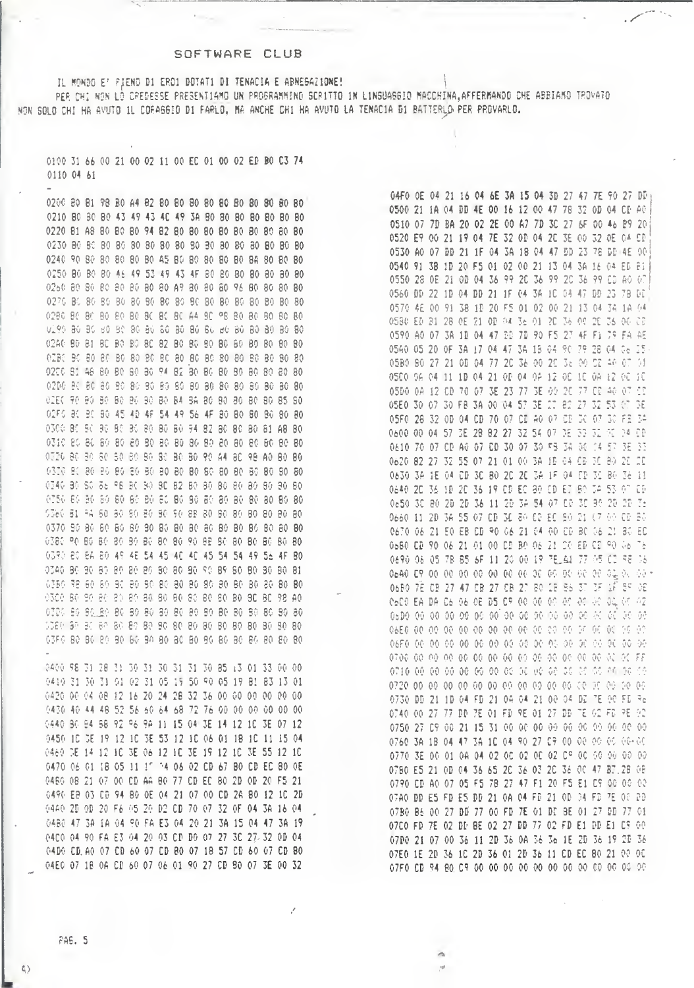### SOFTWARE CLUB

IL MONDO E' FIENO DI EROI DOTATI DI TENACIA E ABNEGAZIONE! PER CHI NON LÒ CREDESSE PRESENTIAMO UN PROGRAMMINO SCRITTO IN LINGUASGIO MACCHINA.AFFERMANDO CHE ABBIAMO TROVATO NON SOLO CHI HA AVUTO 1L CORAGGIO DI FARLO, MA ANCHE CHI HA AVUTO LA TENACIA DI BATTERLO PER PROVARLO.

0100 31 66 00 21 00 02 11 00 EC 01 00 02 ED B0 C3 74 0110 04 61

0440 30 84 58 92 96 98 11 15 04 3E 14 12 10 3E 07 12 0450 10 CE 19 12 10 3E 53 12 10 06 01 18 10 11 15 04 0460 JE 14 12 10 JE 06 12 10 JE 19 12 10 JE 55 12 10 0470 06 01 18 05 11 17 74 06 02 CD 67 80 CD EC 80 0E 0460 08 21 07 00 CD AA 80 77 CD EC 80 2D OD 20 F5 21 0490 EB 03 CD 94 80 OE 04 21 07 00 CD 2A 80 12 10 2D 0440 2B 0B 20 F6 05 20 B2 CB 70 07 32 OF 04 3A 16 04 0480 47 3A 1A 04 90 FA E3 04 20 21 3A 15 04 47 3A 19 0400 04 90 FA E3 04 20 03 CD DO 07 27 30 27 32 0D 04 04D0 CD A0 07 CD 60 07 CD 80 07 18 57 CD 60 07 CD 80 04E0 07 18 0A CD 60 07 06 01 90 27 CD 80 07 3E 00 32

 $\left\langle 1 \right\rangle$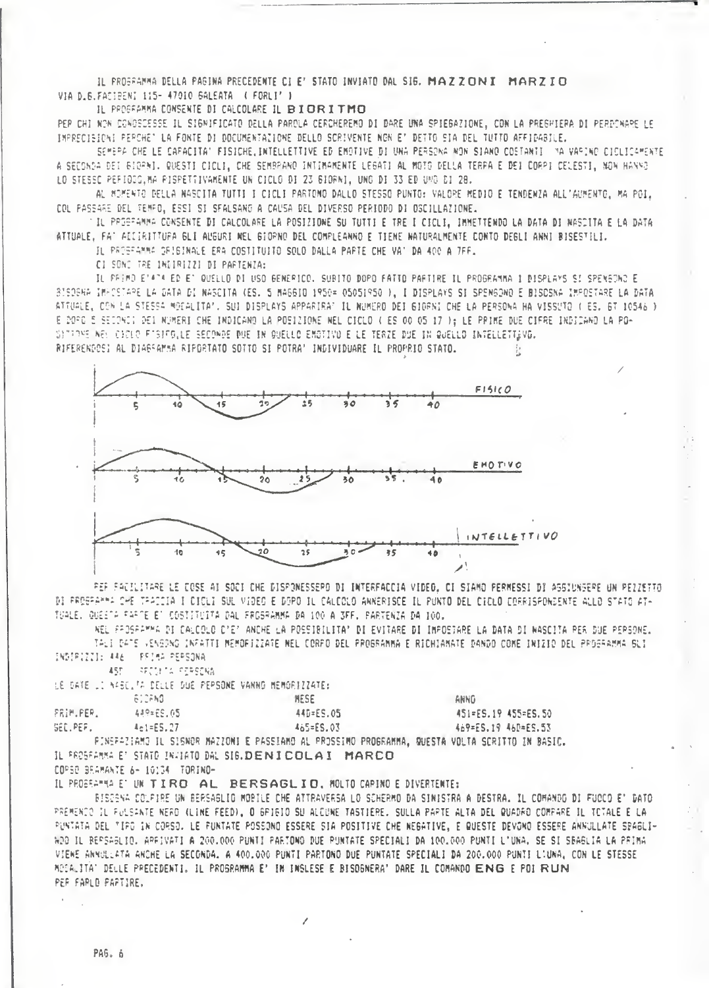IL PROSPAMMA DELLA PAGINA PRECEDENTE CI E' STATO INVIATO DAL SIG. MAZZONI MARZIO VIA D.B. FACIFENI 115- 47010 BALEATA ( FORLI' )

IL PROGRAMMA CONSENTE DI CALCOLARE IL BIORITMO

PEP CHI NON CONOSCESSE IL SIGNIFICATO DELLA PAROLA CERCHEREMO DI DARE UNA SPIEGAZIONE, CON LA PREGHIERA DI PERDONARE LE IMPRECISIONI PEPCHE" LA FONTE DI DOCUMENTAZIONE DELLO SCRIVENTE NGN E' DETTO SIA DEL TUTTO AFFIDABILE.

SEMERA CHE LE CARACITA" FISICHE, INTELLETTIVE ED EMOTIVE DI UNA PERSONA NON SIANO COSTANTI "NA VARINO CICLICAMENTE A SECONDA DEI BIORNI. QUESTI CICLI, CHE SEMBRANO INTIMAMENTE LEGATI AL MOTO DELLA TERRA E DEI CORPI CELESTI, NON HANNO LO STESSO PERIODO, MA PISPETTIVAMENTE UN CICLO DI 23 GIORNI, UNO DI 33 ED UMO DI 28.

AL MOMENTO DELLA NASCITA TUTTI I CICLI PARTONO DALLO STESSO PUNTO: VALORE MEDIO E TENDENZA ALL'AUMENTO, MA POI, COL PASSARE DEL TEMPO, ESSI SI SPALSANG A CAUSA DEL DIVERSO PERIODO DI OSCILLAZIONE.

TIL PROSFAMMA CONSENTE DI CALCOLARE LA POSIZIONE SU TUTTI E TRE I CICLI, IMMETTENDO LA DATA DI NASCITA E LA DATA ATTUALE, FA' AILIRITTURA GLI ALGURI MEL GIORNO DEL COMPLEANNO E TIENE NATURALMENTE CONTO DEGLI ANNI BISESTILI.

IL PROSFAMMA DRIBINALE ERA COSTITUITO SOLO DALLA PARTE CHE VA' DA 400 A 7FF.

CI SONC TRE INDIRIZZI DI PARTENZA:

IL PRIMO ETATA ED ET QUELLO DI USO GENERICO. SUBITO DOPO FATTO PARTIRE IL PROGRAMMA I DISPLAYS SI SPENGONO E 8ISOBHA IMACSTAPE LA DATA DI NASCITA (ES. 5 MAGGIO 1950= 05051950 ), I DISPLAYS SI SPENGONO E BISOSNA IMPOSTARE LA DATA ATTUALE, CON LA STESSA MOCALITA'. SUI DISPLAYS APPARIRAT IL NUMERO DEI GIORNI CHE LA PERSONA HA VISSUTO ( ES. 6T 10546 ) E DOPO 5 SECONCI DEI NUMERI CHE INDICANO LA POSIZIONE NEL CICLO ( ES 00 05 17 ); LE PRIME DUE CIFRE INDICANO LA PO-SITERME WELL CICLO FTSIFOLLE SECONDE DUE IN QUELLO EMOTIVO E LE TERZE DUE IN QUELLO INFELLETTUVO. RIFERENDOSI AL DIAESAMMA RIPORTATO SOTTO SI POTRA' INDIVIDUARE IL PROPRIO STATO.



PER PACILITARE LE COSE AI SOCI CHE DISPONESSEPO DI INTERFACCIA VIDEO. CI SIAMO PERMESSI DI ASSIUNGERE UN PEZZETTO DI FROGRAMMA CHE TRACCIA I CICUI SUL VIDEO E DOPO IL CALCOLO ANNERISCE IL PUNTO DEL CICLO CORRISPONDENTE ALLO STATO AT-TOALE, QUEETA FARTE ET COSTITUITA DAL FROSPANNA DA 100 A 3FF, PARTENZA DA 100.

REL PROSRAMMA DI CALCOLO C'E' ANCHE LA POSSIBILITA' DI EVITARE DI IMPOSTARE LA DATA DI NASCITA PER DUE PERSONE. TALI DATE VENGONO INFATTI MEMORIZZATE NEL CORPO DEL PROGRAMMA E RICHIAMATE DANDO COME INIZIO DEL PROGRAMMA SLI INDIRIZII: 446 PRIMA PERSONA

450 **I RECOUTS FERSONA** 

LE DATE LI NASCLIA DELLE DUE PEPSONE VANNO MEMORIZZATE:

|                  | 612FN0-   | <b>NESE</b>                                                                                    | ANNG                |
|------------------|-----------|------------------------------------------------------------------------------------------------|---------------------|
| <b>PRIM.PER.</b> | 449=25.05 | 44D=ES.05                                                                                      | 451=ES.19 455=ES.50 |
| SED, PERLI       | 461=E5.27 | 465=ES.03                                                                                      | 469=ES.19 46D=ES.53 |
|                  |           | FINEFAZIAMO IL SISNOR MAZZONI E PASEIAMO AL PROSSIMO PROGRAMMA. QUESTA VOLTA SCRITTO IN BASIC. |                     |

IL PROSFAMMA ET STATO INVIATO DAL SIG.DENICOLAI MARCO COPSO BEAMANTE 6- 10134 TORINO-

IL PROSENTIA ET UN TIRO AL BERSAGLIO, MOLTO CAPINO E DIVERTENTE:

BISCENA COLFIRE UN BERSAGLIO MOBILE CHE ATTRAVERSA LO SCHERMO DA SINISTRA A DESTRA. IL COMANDO DI FUOCO E' DATO PREMENDO IL PULSANTE NERO (LINE FEED), O GPIEIO SU ALCUNE TASTIERE, SULLA PAPTE ALTA DEL QUADRO COMPARE IL TOTALE È LA PUNTATA DEL TIPO IN CORSO. LE PUNTATE POSSONO ESSERE SIA POSITIVE CHE NEGATIVE, E QUESTE DEVONO ESSERE ANNULLATE SPAGLI-WDD IL BERSAGLIO, ARRIVATI A 200.000 PUNTI PARTONO DUE PUNTATE SPECIALI DA 100.000 PUNTI L'UNA. SE SI SBAGLIA LA PRIMA VIENE ANNULLATA ANCHE LA SECONDA. A 400.000 PUNTI PARTONO DUE PUNTATE SPECIALI DA 200.000 PUNTI L'UNA, CON LE STESSE MOCALITA' DELLE PRECEDENTI, IL PROSRAMMA E' IN INSLESE E BISOGNERA' DARE IL COMANDO ENG E POI RUN PER FARLD PAPTIRE.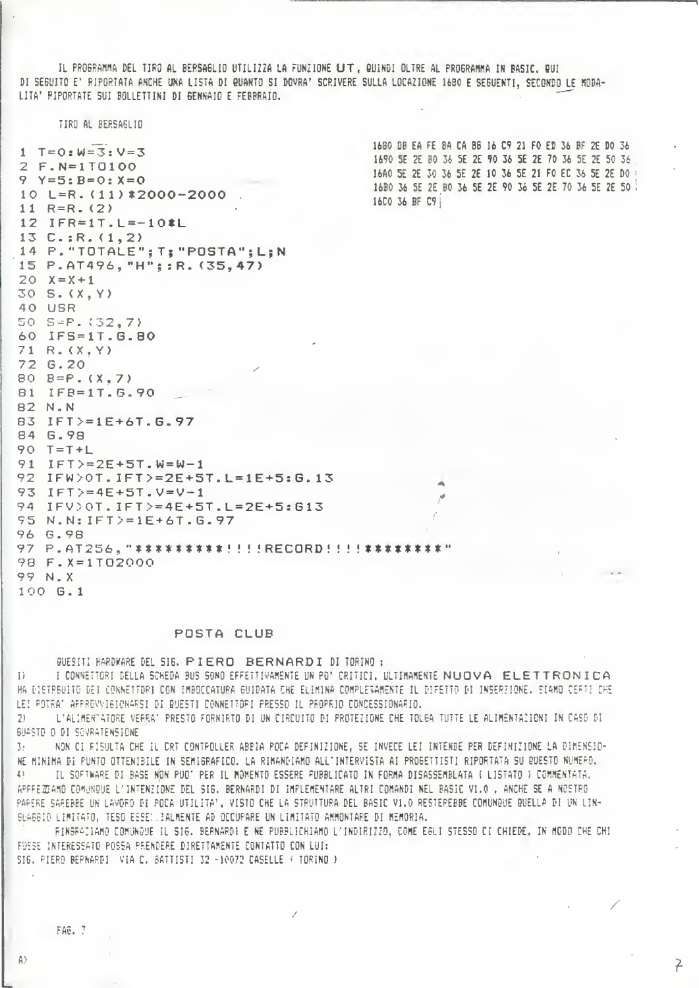IL PROGRAMMA DEL TIRO AL BERSAGLIO UTILIZZA LA FUNZIONE LIT, QUINDI OLTRE AL PROGRAMMA IN BASIC, QUI DI SEGUITO E' RIPORTATA ANCHE UNA LISTA DI QUANTO SI DOVRA' SCRIVERE SULLA LOCAZIONE 1680 E SEGUENTI, SECONDO LE MODA-LITA' PIPORTATE SUI BOLLETTINI DI GENNAIO E FEBBRAIO.

TIRO AL BERSAGLIO

1680 DB EA FE 8A CA 88 16 C9 21 FO ED 36 BF 2E DO 36  $1 T = 0: W = 3: V = 3$ 1690 5E 2E BO 36 5E 2E 90 36 5E 2E 70 36 5E 2E 50 36 2 F.N=1T0100 16A0 5E 2E 30 36 5E 2E 10 36 5E 21 FO EC 36 5E 2E DO  $9 Y=5:B=0:X=0$ 16B0 36 5E 2E B0 36 5E 2E 90 36 5E 2E 70 36 5E 2E 50 10 L=R.  $(11)*2000-2000$ 16C0 36 BF C9 11  $R = R = (2)$ 12 IFR=1T.L=-10\*L  $13 C.: R.(1,2)$ 14 P. "TOTALE"; T; "POSTA"; L; N 15 P.AT496, "H"; : R. (35, 47)  $20 X = = +1$  $30 S. (X, Y)$ 40 USR 50 S=P. (32,7) 60 IFS=1T.G.80  $71 R. (X, Y)$ 72 6.20 80  $B = P. (X, 7)$ 81 IFB=1T.6.90 82 N.N 83 IFT>=1E+6T.G.97 84 G.98  $90$  T=T+L  $91$  IFT>=2E+5T.W=W-1 92 IFW>0T. IFT>=2E+5T. L=1E+5: G. 13 93  $IFT>=4E+5T. V=V-1$ 94 IFV>0T. IFT>=4E+5T. L=2E+5: G13 95 N.N: IFT>=1E+6T.G.97 96 G.98 97 P.AT256, "\*\*\*\*\*\*\*\*\*\*!!!!RECORD!!!!\*\*\*\*\*\*\*\*"  $98 F. X = 1 T02000$ 99 N.X 100 G.1

#### POSTA CLUB

GUESITI HARDWARE DEL SIG. PIERO BERNARDI DI TORINO : I CONNETTORI DELLA SCHEDA BUS SONO EFFETTIVAMENTE UN PO' CRITICI. ULTIMAMENTE NUOVA ELETTRONICA  $\mathbb{L}$ HA DISTREUITO DEI CONNETTORI CON IMBOCCATURA GUIDATA CHE ELIMINA COMPLETAMENTE IL DIFETTO DI INSERZIONE. SIAMO CEFTI CHE LEI POTRA' APPROVVIGIONARSI DI BUESTI CONNETTOPI PRESSO IL PROPRIO CONCESSIONARIO.

L'ALIMENTATORE VERRA' PRESTO FORNIRTO DI UN CIRCUITO DI PROTEZIONE CHE TOLGA TUTTE LE ALIMENTAZIONI IN CASO DI 21. SUASTO O DI SOVRATENSIONE

 $\mathcal{R}$ NON CI RISULTA CHE IL CRT CONTPOLLER ABBIA POCA DEFINIZIONE, SE INVECE LEI INTENDE PER DEFINIZIONE LA DIMENSIO-NE MINIMA DI PUNTO OTTENIBILE IN SEMIGRAFICO. LA RIMANDIAMO ALL'INTERVISTA AI PROGETTISTI RIPORTATA SU QUESTO NUMERO. IL SOFTWARE DI BASE NON PUO' PER IL MOMENTO ESSERE FUBBLICATO IN FORMA DISASSEMBLATA ( LISTATO ) COMMENTATA. APPREZIAMO COMUNQUE L'INTENZIONE DEL SIG. BERNARDI DI IMPLEMENTARE ALTRI COMANDI NEL BASIC VI.O . ANCHE SE A NOSTRO PARERE SAREBBE UN LAVORO DI POCA UTILITA', VISTO CHE LA STRUTTURA DEL BASIC V1.0 RESTEREBBE COMUNQUE QUELLA DI UN LIN-SUAGGIO LIMITATO, TESO ESSE: JALMENTE AD OCCUPARE UN LIMITATO AMMONTARE DI MEMORIA.

RINGRAZIAMO COMUNQUE IL SIG. BERNARDI E NE PUBBLICHIAMO L'INDIRIZZO, COME EGLI STESSO CI CHIEDE, IN MODO CHE CHI FOSSE INTERESSATO POSSA PRENDERE DIRETTAMENTE CONTATTO CON LUI: SIG. PIERO BERNARDI VIA C. BATTISTI 32 -10072 CASELLE ( TORINO )

 $\zeta$